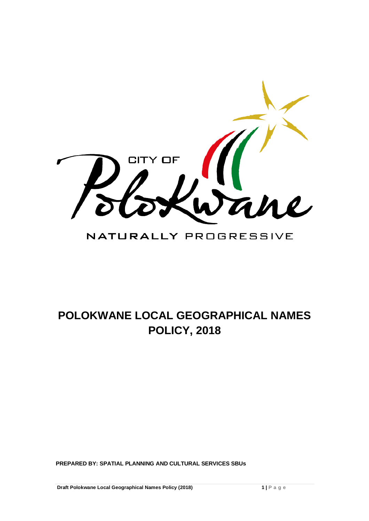

# NATURALLY PROGRESSIVE

# **POLOKWANE LOCAL GEOGRAPHICAL NAMES POLICY, 2018**

**PREPARED BY: SPATIAL PLANNING AND CULTURAL SERVICES SBUs**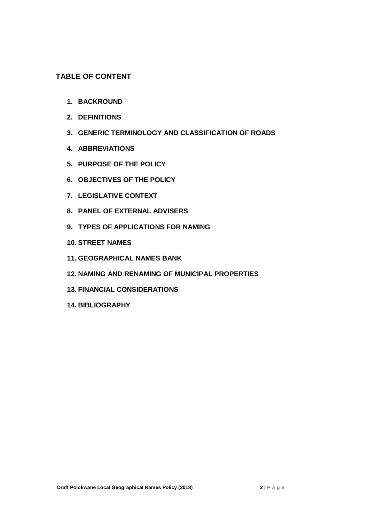# **TABLE OF CONTENT**

- **1. BACKROUND**
- **2. DEFINITIONS**
- **3. GENERIC TERMINOLOGY AND CLASSIFICATION OF ROADS**
- **4. ABBREVIATIONS**
- **5. PURPOSE OF THE POLICY**
- **6. OBJECTIVES OF THE POLICY**
- **7. LEGISLATIVE CONTEXT**
- **8. PANEL OF EXTERNAL ADVISERS**
- **9. TYPES OF APPLICATIONS FOR NAMING**
- **10. STREET NAMES**
- **11. GEOGRAPHICAL NAMES BANK**
- **12. NAMING AND RENAMING OF MUNICIPAL PROPERTIES**
- **13. FINANCIAL CONSIDERATIONS**
- **14. BIBLIOGRAPHY**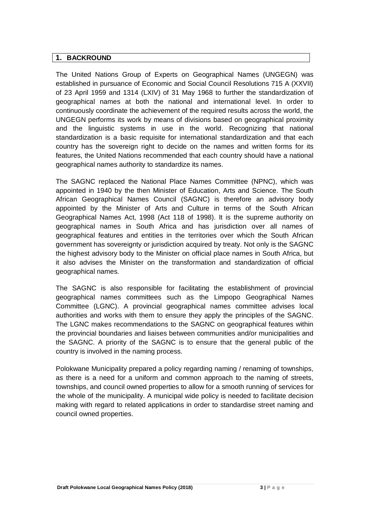# **1. BACKROUND**

The United Nations Group of Experts on Geographical Names (UNGEGN) was established in pursuance of Economic and Social Council Resolutions 715 A (XXVII) of 23 April 1959 and 1314 (LXIV) of 31 May 1968 to further the standardization of geographical names at both the national and international level. In order to continuously coordinate the achievement of the required results across the world, the UNGEGN performs its work by means of divisions based on geographical proximity and the linguistic systems in use in the world. Recognizing that national standardization is a basic requisite for international standardization and that each country has the sovereign right to decide on the names and written forms for its features, the United Nations recommended that each country should have a national geographical names authority to standardize its names.

The SAGNC replaced the National Place Names Committee (NPNC), which was appointed in 1940 by the then Minister of Education, Arts and Science. The South African Geographical Names Council (SAGNC) is therefore an advisory body appointed by the Minister of Arts and Culture in terms of the South African Geographical Names Act, 1998 (Act 118 of 1998). It is the supreme authority on geographical names in South Africa and has jurisdiction over all names of geographical features and entities in the territories over which the South African government has sovereignty or jurisdiction acquired by treaty. Not only is the SAGNC the highest advisory body to the Minister on official place names in South Africa, but it also advises the Minister on the transformation and standardization of official geographical names.

The SAGNC is also responsible for facilitating the establishment of provincial geographical names committees such as the Limpopo Geographical Names Committee (LGNC). A provincial geographical names committee advises local authorities and works with them to ensure they apply the principles of the SAGNC. The LGNC makes recommendations to the SAGNC on geographical features within the provincial boundaries and liaises between communities and/or municipalities and the SAGNC. A priority of the SAGNC is to ensure that the general public of the country is involved in the naming process.

Polokwane Municipality prepared a policy regarding naming / renaming of townships, as there is a need for a uniform and common approach to the naming of streets, townships, and council owned properties to allow for a smooth running of services for the whole of the municipality. A municipal wide policy is needed to facilitate decision making with regard to related applications in order to standardise street naming and council owned properties.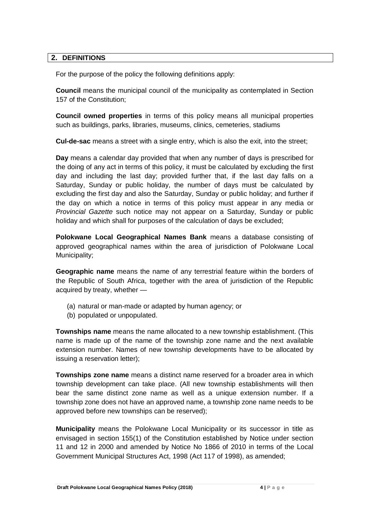#### **2. DEFINITIONS**

For the purpose of the policy the following definitions apply:

**Council** means the municipal council of the municipality as contemplated in Section 157 of the Constitution;

**Council owned properties** in terms of this policy means all municipal properties such as buildings, parks, libraries, museums, clinics, cemeteries, stadiums

**Cul-de-sac** means a street with a single entry, which is also the exit, into the street;

**Day** means a calendar day provided that when any number of days is prescribed for the doing of any act in terms of this policy, it must be calculated by excluding the first day and including the last day; provided further that, if the last day falls on a Saturday, Sunday or public holiday, the number of days must be calculated by excluding the first day and also the Saturday, Sunday or public holiday; and further if the day on which a notice in terms of this policy must appear in any media or *Provincial Gazette* such notice may not appear on a Saturday, Sunday or public holiday and which shall for purposes of the calculation of days be excluded;

**Polokwane Local Geographical Names Bank** means a database consisting of approved geographical names within the area of jurisdiction of Polokwane Local Municipality;

**Geographic name** means the name of any terrestrial feature within the borders of the Republic of South Africa, together with the area of jurisdiction of the Republic acquired by treaty, whether —

- (a) natural or man-made or adapted by human agency; or
- (b) populated or unpopulated.

**Townships name** means the name allocated to a new township establishment. (This name is made up of the name of the township zone name and the next available extension number. Names of new township developments have to be allocated by issuing a reservation letter);

**Townships zone name** means a distinct name reserved for a broader area in which township development can take place. (All new township establishments will then bear the same distinct zone name as well as a unique extension number. If a township zone does not have an approved name, a township zone name needs to be approved before new townships can be reserved);

**Municipality** means the Polokwane Local Municipality or its successor in title as envisaged in section 155(1) of the Constitution established by Notice under section 11 and 12 in 2000 and amended by Notice No 1866 of 2010 in terms of the Local Government Municipal Structures Act, 1998 (Act 117 of 1998), as amended;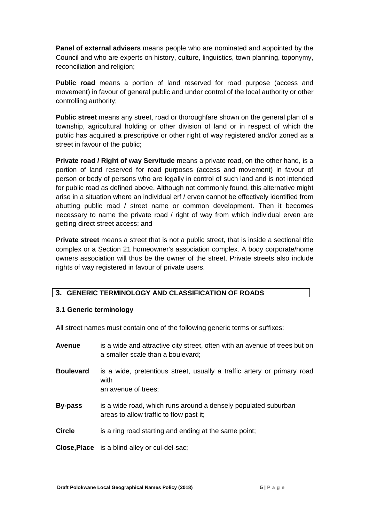**Panel of external advisers** means people who are nominated and appointed by the Council and who are experts on history, culture, linguistics, town planning, toponymy, reconciliation and religion;

**Public road** means a portion of land reserved for road purpose (access and movement) in favour of general public and under control of the local authority or other controlling authority;

**Public street** means any street, road or thoroughfare shown on the general plan of a township, agricultural holding or other division of land or in respect of which the public has acquired a prescriptive or other right of way registered and/or zoned as a street in favour of the public;

**Private road / Right of way Servitude** means a private road, on the other hand, is a portion of land reserved for road purposes (access and movement) in favour of person or body of persons who are legally in control of such land and is not intended for public road as defined above. Although not commonly found, this alternative might arise in a situation where an individual erf / erven cannot be effectively identified from abutting public road / street name or common development. Then it becomes necessary to name the private road / right of way from which individual erven are getting direct street access; and

**Private street** means a street that is not a public street, that is inside a sectional title complex or a Section 21 homeowner's association complex. A body corporate/home owners association will thus be the owner of the street. Private streets also include rights of way registered in favour of private users.

# **3. GENERIC TERMINOLOGY AND CLASSIFICATION OF ROADS**

# **3.1 Generic terminology**

All street names must contain one of the following generic terms or suffixes:

| <b>Avenue</b>    | is a wide and attractive city street, often with an avenue of trees but on<br>a smaller scale than a boulevard; |
|------------------|-----------------------------------------------------------------------------------------------------------------|
| <b>Boulevard</b> | is a wide, pretentious street, usually a traffic artery or primary road<br>with<br>an avenue of trees;          |
| <b>By-pass</b>   | is a wide road, which runs around a densely populated suburban<br>areas to allow traffic to flow past it;       |
| <b>Circle</b>    | is a ring road starting and ending at the same point;                                                           |
|                  | <b>Close, Place</b> is a blind alley or cul-del-sac;                                                            |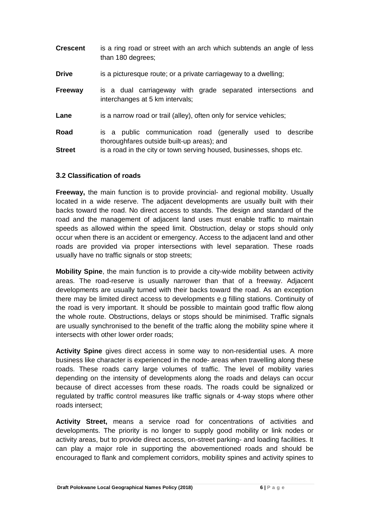| <b>Crescent</b>       | is a ring road or street with an arch which subtends an angle of less<br>than 180 degrees;                                                                                       |
|-----------------------|----------------------------------------------------------------------------------------------------------------------------------------------------------------------------------|
| <b>Drive</b>          | is a picturesque route; or a private carriageway to a dwelling;                                                                                                                  |
| <b>Freeway</b>        | is a dual carriageway with grade separated intersections and<br>interchanges at 5 km intervals;                                                                                  |
| Lane                  | is a narrow road or trail (alley), often only for service vehicles;                                                                                                              |
| Road<br><b>Street</b> | is a public communication road (generally used to describe<br>thoroughfares outside built-up areas); and<br>is a road in the city or town serving housed, businesses, shops etc. |

#### **3.2 Classification of roads**

**Freeway,** the main function is to provide provincial- and regional mobility. Usually located in a wide reserve. The adjacent developments are usually built with their backs toward the road. No direct access to stands. The design and standard of the road and the management of adjacent land uses must enable traffic to maintain speeds as allowed within the speed limit. Obstruction, delay or stops should only occur when there is an accident or emergency. Access to the adjacent land and other roads are provided via proper intersections with level separation. These roads usually have no traffic signals or stop streets;

**Mobility Spine**, the main function is to provide a city-wide mobility between activity areas. The road-reserve is usually narrower than that of a freeway. Adjacent developments are usually turned with their backs toward the road. As an exception there may be limited direct access to developments e.g filling stations. Continuity of the road is very important. It should be possible to maintain good traffic flow along the whole route. Obstructions, delays or stops should be minimised. Traffic signals are usually synchronised to the benefit of the traffic along the mobility spine where it intersects with other lower order roads;

**Activity Spine** gives direct access in some way to non-residential uses. A more business like character is experienced in the node- areas when travelling along these roads. These roads carry large volumes of traffic. The level of mobility varies depending on the intensity of developments along the roads and delays can occur because of direct accesses from these roads. The roads could be signalized or regulated by traffic control measures like traffic signals or 4-way stops where other roads intersect;

**Activity Street,** means a service road for concentrations of activities and developments. The priority is no longer to supply good mobility or link nodes or activity areas, but to provide direct access, on-street parking- and loading facilities. It can play a major role in supporting the abovementioned roads and should be encouraged to flank and complement corridors, mobility spines and activity spines to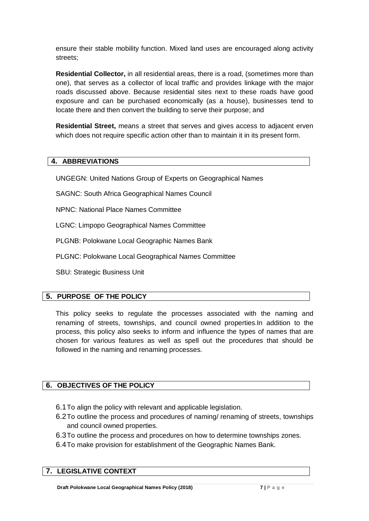ensure their stable mobility function. Mixed land uses are encouraged along activity streets;

**Residential Collector,** in all residential areas, there is a road, (sometimes more than one), that serves as a collector of local traffic and provides linkage with the major roads discussed above. Because residential sites next to these roads have good exposure and can be purchased economically (as a house), businesses tend to locate there and then convert the building to serve their purpose; and

**Residential Street,** means a street that serves and gives access to adjacent erven which does not require specific action other than to maintain it in its present form.

# **4. ABBREVIATIONS**

UNGEGN: United Nations Group of Experts on Geographical Names

SAGNC: South Africa Geographical Names Council

NPNC: National Place Names Committee

LGNC: Limpopo Geographical Names Committee

PLGNB: Polokwane Local Geographic Names Bank

PLGNC: Polokwane Local Geographical Names Committee

SBU: Strategic Business Unit

# **5. PURPOSE OF THE POLICY**

This policy seeks to regulate the processes associated with the naming and renaming of streets, townships, and council owned properties.In addition to the process, this policy also seeks to inform and influence the types of names that are chosen for various features as well as spell out the procedures that should be followed in the naming and renaming processes.

# **6. OBJECTIVES OF THE POLICY**

- 6.1To align the policy with relevant and applicable legislation.
- 6.2To outline the process and procedures of naming/ renaming of streets, townships and council owned properties.
- 6.3To outline the process and procedures on how to determine townships zones.
- 6.4To make provision for establishment of the Geographic Names Bank.

# **7. LEGISLATIVE CONTEXT**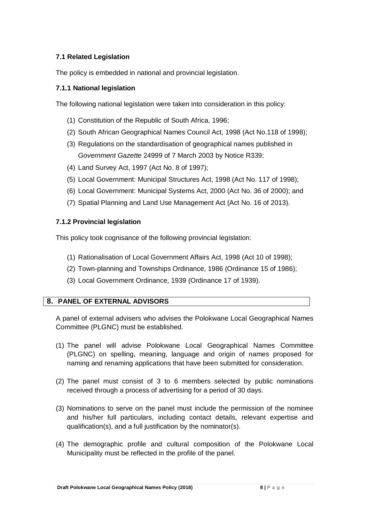# **7.1 Related Legislation**

The policy is embedded in national and provincial legislation.

# **7.1.1 National legislation**

The following national legislation were taken into consideration in this policy:

- (1) Constitution of the Republic of South Africa, 1996;
- (2) South African Geographical Names Council Act, 1998 (Act No.118 of 1998);
- (3) Regulations on the standardisation of geographical names published in *Government Gazette* 24999 of 7 March 2003 by Notice R339;
- (4) Land Survey Act, 1997 (Act No. 8 of 1997);
- (5) Local Government: Municipal Structures Act, 1998 (Act No. 117 of 1998);
- (6) Local Government: Municipal Systems Act, 2000 (Act No. 36 of 2000); and
- (7) Spatial Planning and Land Use Management Act (Act No. 16 of 2013).

#### **7.1.2 Provincial legislation**

This policy took cognisance of the following provincial legislation:

- (1) Rationalisation of Local Government Affairs Act, 1998 (Act 10 of 1998);
- (2) Town-planning and Townships Ordinance, 1986 (Ordinance 15 of 1986);
- (3) Local Government Ordinance, 1939 (Ordinance 17 of 1939).

# **8. PANEL OF EXTERNAL ADVISORS**

A panel of external advisers who advises the Polokwane Local Geographical Names Committee (PLGNC) must be established.

- (1) The panel will advise Polokwane Local Geographical Names Committee (PLGNC) on spelling, meaning, language and origin of names proposed for naming and renaming applications that have been submitted for consideration.
- (2) The panel must consist of 3 to 6 members selected by public nominations received through a process of advertising for a period of 30 days.
- (3) Nominations to serve on the panel must include the permission of the nominee and his/her full particulars, including contact details, relevant expertise and qualification(s), and a full justification by the nominator(s).
- (4) The demographic profile and cultural composition of the Polokwane Local Municipality must be reflected in the profile of the panel.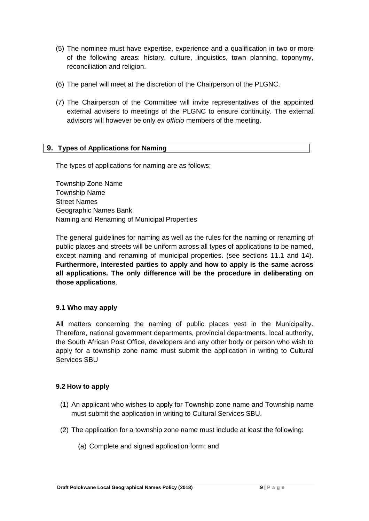- (5) The nominee must have expertise, experience and a qualification in two or more of the following areas: history, culture, linguistics, town planning, toponymy, reconciliation and religion.
- (6) The panel will meet at the discretion of the Chairperson of the PLGNC.
- (7) The Chairperson of the Committee will invite representatives of the appointed external advisers to meetings of the PLGNC to ensure continuity. The external advisors will however be only *ex officio* members of the meeting.

#### **9. Types of Applications for Naming**

The types of applications for naming are as follows;

Township Zone Name Township Name Street Names Geographic Names Bank Naming and Renaming of Municipal Properties

The general guidelines for naming as well as the rules for the naming or renaming of public places and streets will be uniform across all types of applications to be named, except naming and renaming of municipal properties. (see sections 11.1 and 14). **Furthermore, interested parties to apply and how to apply is the same across all applications. The only difference will be the procedure in deliberating on those applications**.

#### **9.1 Who may apply**

All matters concerning the naming of public places vest in the Municipality. Therefore, national government departments, provincial departments, local authority, the South African Post Office, developers and any other body or person who wish to apply for a township zone name must submit the application in writing to Cultural Services SBU

#### **9.2 How to apply**

- (1) An applicant who wishes to apply for Township zone name and Township name must submit the application in writing to Cultural Services SBU.
- (2) The application for a township zone name must include at least the following:
	- (a) Complete and signed application form; and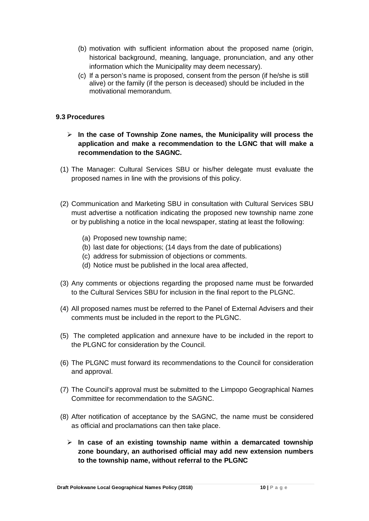- (b) motivation with sufficient information about the proposed name (origin, historical background, meaning, language, pronunciation, and any other information which the Municipality may deem necessary).
- (c) If a person's name is proposed, consent from the person (if he/she is still alive) or the family (if the person is deceased) should be included in the motivational memorandum.

#### **9.3 Procedures**

- **In the case of Township Zone names, the Municipality will process the application and make a recommendation to the LGNC that will make a recommendation to the SAGNC.**
- (1) The Manager: Cultural Services SBU or his/her delegate must evaluate the proposed names in line with the provisions of this policy.
- (2) Communication and Marketing SBU in consultation with Cultural Services SBU must advertise a notification indicating the proposed new township name zone or by publishing a notice in the local newspaper, stating at least the following:
	- (a) Proposed new township name;
	- (b) last date for objections; (14 days from the date of publications)
	- (c) address for submission of objections or comments.
	- (d) Notice must be published in the local area affected,
- (3) Any comments or objections regarding the proposed name must be forwarded to the Cultural Services SBU for inclusion in the final report to the PLGNC.
- (4) All proposed names must be referred to the Panel of External Advisers and their comments must be included in the report to the PLGNC.
- (5) The completed application and annexure have to be included in the report to the PLGNC for consideration by the Council.
- (6) The PLGNC must forward its recommendations to the Council for consideration and approval.
- (7) The Council's approval must be submitted to the Limpopo Geographical Names Committee for recommendation to the SAGNC.
- (8) After notification of acceptance by the SAGNC, the name must be considered as official and proclamations can then take place.
	- **In case of an existing township name within a demarcated township zone boundary, an authorised official may add new extension numbers to the township name, without referral to the PLGNC**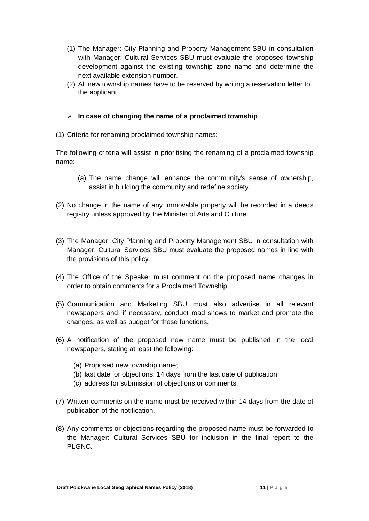- (1) The Manager: City Planning and Property Management SBU in consultation with Manager: Cultural Services SBU must evaluate the proposed township development against the existing township zone name and determine the next available extension number.
- (2) All new township names have to be reserved by writing a reservation letter to the applicant.

# **In case of changing the name of a proclaimed township**

(1) Criteria for renaming proclaimed township names:

The following criteria will assist in prioritising the renaming of a proclaimed township name:

- (a) The name change will enhance the community's sense of ownership, assist in building the community and redefine society.
- (2) No change in the name of any immovable property will be recorded in a deeds registry unless approved by the Minister of Arts and Culture.
- (3) The Manager: City Planning and Property Management SBU in consultation with Manager: Cultural Services SBU must evaluate the proposed names in line with the provisions of this policy.
- (4) The Office of the Speaker must comment on the proposed name changes in order to obtain comments for a Proclaimed Township.
- (5) Communication and Marketing SBU must also advertise in all relevant newspapers and, if necessary, conduct road shows to market and promote the changes, as well as budget for these functions.
- (6) A notification of the proposed new name must be published in the local newspapers, stating at least the following:
	- (a) Proposed new township name;
	- (b) last date for objections; 14 days from the last date of publication
	- (c) address for submission of objections or comments.
- (7) Written comments on the name must be received within 14 days from the date of publication of the notification.
- (8) Any comments or objections regarding the proposed name must be forwarded to the Manager: Cultural Services SBU for inclusion in the final report to the PLGNC.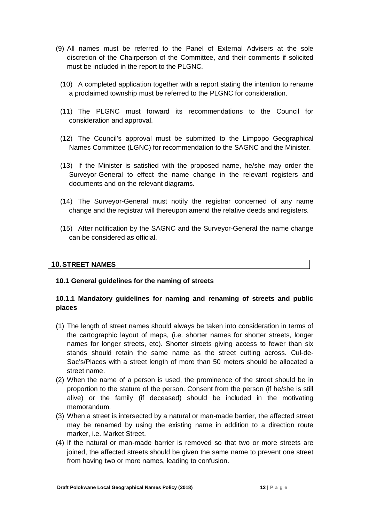- (9) All names must be referred to the Panel of External Advisers at the sole discretion of the Chairperson of the Committee, and their comments if solicited must be included in the report to the PLGNC.
	- (10) A completed application together with a report stating the intention to rename a proclaimed township must be referred to the PLGNC for consideration.
	- (11) The PLGNC must forward its recommendations to the Council for consideration and approval.
	- (12) The Council's approval must be submitted to the Limpopo Geographical Names Committee (LGNC) for recommendation to the SAGNC and the Minister.
	- (13) If the Minister is satisfied with the proposed name, he/she may order the Surveyor-General to effect the name change in the relevant registers and documents and on the relevant diagrams.
	- (14) The Surveyor-General must notify the registrar concerned of any name change and the registrar will thereupon amend the relative deeds and registers.
	- (15) After notification by the SAGNC and the Surveyor-General the name change can be considered as official.

#### **10.STREET NAMES**

#### **10.1 General guidelines for the naming of streets**

# **10.1.1 Mandatory guidelines for naming and renaming of streets and public places**

- (1) The length of street names should always be taken into consideration in terms of the cartographic layout of maps, (i.e. shorter names for shorter streets, longer names for longer streets, etc). Shorter streets giving access to fewer than six stands should retain the same name as the street cutting across. Cul-de-Sac's/Places with a street length of more than 50 meters should be allocated a street name.
- (2) When the name of a person is used, the prominence of the street should be in proportion to the stature of the person. Consent from the person (if he/she is still alive) or the family (if deceased) should be included in the motivating memorandum.
- (3) When a street is intersected by a natural or man-made barrier, the affected street may be renamed by using the existing name in addition to a direction route marker, i.e. Market Street.
- (4) If the natural or man-made barrier is removed so that two or more streets are joined, the affected streets should be given the same name to prevent one street from having two or more names, leading to confusion.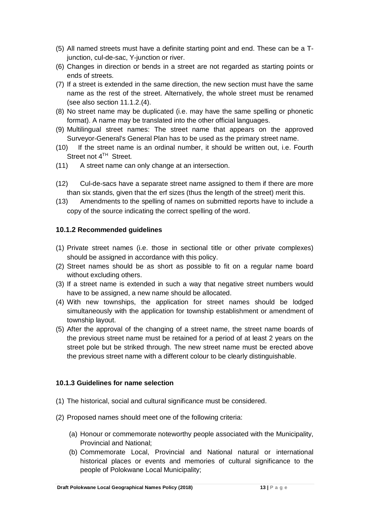- (5) All named streets must have a definite starting point and end. These can be a Tjunction, cul-de-sac, Y-junction or river.
- (6) Changes in direction or bends in a street are not regarded as starting points or ends of streets.
- (7) If a street is extended in the same direction, the new section must have the same name as the rest of the street. Alternatively, the whole street must be renamed (see also section 11.1.2.(4).
- (8) No street name may be duplicated (i.e. may have the same spelling or phonetic format). A name may be translated into the other official languages.
- (9) Multilingual street names: The street name that appears on the approved Surveyor-General's General Plan has to be used as the primary street name.
- (10) If the street name is an ordinal number, it should be written out, i.e. Fourth Street not 4<sup>TH</sup> Street.
- (11) A street name can only change at an intersection.
- (12) Cul-de-sacs have a separate street name assigned to them if there are more than six stands, given that the erf sizes (thus the length of the street) merit this.
- (13) Amendments to the spelling of names on submitted reports have to include a copy of the source indicating the correct spelling of the word.

# **10.1.2 Recommended guidelines**

- (1) Private street names (i.e. those in sectional title or other private complexes) should be assigned in accordance with this policy.
- (2) Street names should be as short as possible to fit on a regular name board without excluding others.
- (3) If a street name is extended in such a way that negative street numbers would have to be assigned, a new name should be allocated.
- (4) With new townships, the application for street names should be lodged simultaneously with the application for township establishment or amendment of township layout.
- (5) After the approval of the changing of a street name, the street name boards of the previous street name must be retained for a period of at least 2 years on the street pole but be striked through. The new street name must be erected above the previous street name with a different colour to be clearly distinguishable.

#### **10.1.3 Guidelines for name selection**

- (1) The historical, social and cultural significance must be considered.
- (2) Proposed names should meet one of the following criteria:
	- (a) Honour or commemorate noteworthy people associated with the Municipality, Provincial and National;
	- (b) Commemorate Local, Provincial and National natural or international historical places or events and memories of cultural significance to the people of Polokwane Local Municipality;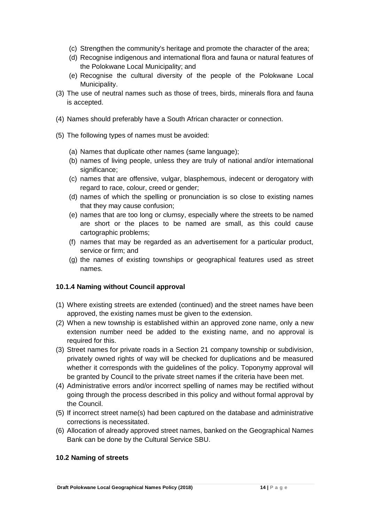- (c) Strengthen the community's heritage and promote the character of the area;
- (d) Recognise indigenous and international flora and fauna or natural features of the Polokwane Local Municipality; and
- (e) Recognise the cultural diversity of the people of the Polokwane Local Municipality.
- (3) The use of neutral names such as those of trees, birds, minerals flora and fauna is accepted.
- (4) Names should preferably have a South African character or connection.
- (5) The following types of names must be avoided:
	- (a) Names that duplicate other names (same language);
	- (b) names of living people, unless they are truly of national and/or international significance;
	- (c) names that are offensive, vulgar, blasphemous, indecent or derogatory with regard to race, colour, creed or gender;
	- (d) names of which the spelling or pronunciation is so close to existing names that they may cause confusion;
	- (e) names that are too long or clumsy, especially where the streets to be named are short or the places to be named are small, as this could cause cartographic problems;
	- (f) names that may be regarded as an advertisement for a particular product, service or firm; and
	- (g) the names of existing townships or geographical features used as street names.

# **10.1.4 Naming without Council approval**

- (1) Where existing streets are extended (continued) and the street names have been approved, the existing names must be given to the extension.
- (2) When a new township is established within an approved zone name, only a new extension number need be added to the existing name, and no approval is required for this.
- (3) Street names for private roads in a Section 21 company township or subdivision, privately owned rights of way will be checked for duplications and be measured whether it corresponds with the guidelines of the policy. Toponymy approval will be granted by Council to the private street names if the criteria have been met.
- (4) Administrative errors and/or incorrect spelling of names may be rectified without going through the process described in this policy and without formal approval by the Council.
- (5) If incorrect street name(s) had been captured on the database and administrative corrections is necessitated.
- (6) Allocation of already approved street names, banked on the Geographical Names Bank can be done by the Cultural Service SBU.

# **10.2 Naming of streets**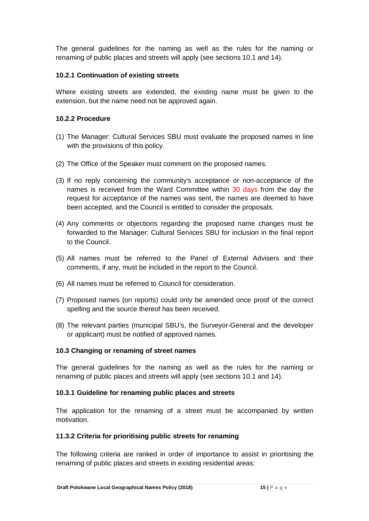The general guidelines for the naming as well as the rules for the naming or renaming of public places and streets will apply (see sections 10.1 and 14).

#### **10.2.1 Continuation of existing streets**

Where existing streets are extended, the existing name must be given to the extension, but the name need not be approved again.

#### **10.2.2 Procedure**

- (1) The Manager: Cultural Services SBU must evaluate the proposed names in line with the provisions of this policy.
- (2) The Office of the Speaker must comment on the proposed names.
- (3) If no reply concerning the community's acceptance or non-acceptance of the names is received from the Ward Committee within 30 days from the day the request for acceptance of the names was sent, the names are deemed to have been accepted, and the Council is entitled to consider the proposals.
- (4) Any comments or objections regarding the proposed name changes must be forwarded to the Manager: Cultural Services SBU for inclusion in the final report to the Council.
- (5) All names must be referred to the Panel of External Advisers and their comments, if any, must be included in the report to the Council.
- (6) All names must be referred to Council for consideration.
- (7) Proposed names (on reports) could only be amended once proof of the correct spelling and the source thereof has been received.
- (8) The relevant parties (municipal SBU's, the Surveyor-General and the developer or applicant) must be notified of approved names.

#### **10.3 Changing or renaming of street names**

The general guidelines for the naming as well as the rules for the naming or renaming of public places and streets will apply (see sections 10.1 and 14).

#### **10.3.1 Guideline for renaming public places and streets**

The application for the renaming of a street must be accompanied by written motivation.

#### **11.3.2 Criteria for prioritising public streets for renaming**

The following criteria are ranked in order of importance to assist in prioritising the renaming of public places and streets in existing residential areas: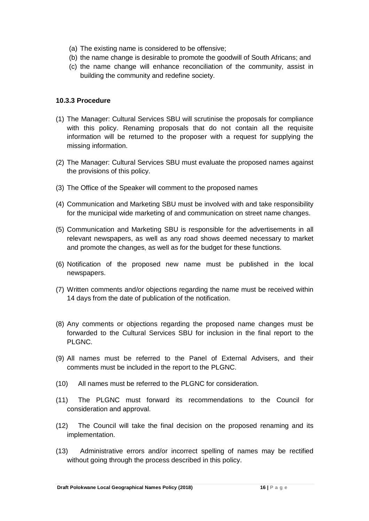- (a) The existing name is considered to be offensive;
- (b) the name change is desirable to promote the goodwill of South Africans; and
- (c) the name change will enhance reconciliation of the community, assist in building the community and redefine society.

#### **10.3.3 Procedure**

- (1) The Manager: Cultural Services SBU will scrutinise the proposals for compliance with this policy. Renaming proposals that do not contain all the requisite information will be returned to the proposer with a request for supplying the missing information.
- (2) The Manager: Cultural Services SBU must evaluate the proposed names against the provisions of this policy.
- (3) The Office of the Speaker will comment to the proposed names
- (4) Communication and Marketing SBU must be involved with and take responsibility for the municipal wide marketing of and communication on street name changes.
- (5) Communication and Marketing SBU is responsible for the advertisements in all relevant newspapers, as well as any road shows deemed necessary to market and promote the changes, as well as for the budget for these functions.
- (6) Notification of the proposed new name must be published in the local newspapers.
- (7) Written comments and/or objections regarding the name must be received within 14 days from the date of publication of the notification.
- (8) Any comments or objections regarding the proposed name changes must be forwarded to the Cultural Services SBU for inclusion in the final report to the PLGNC.
- (9) All names must be referred to the Panel of External Advisers, and their comments must be included in the report to the PLGNC.
- (10) All names must be referred to the PLGNC for consideration.
- (11) The PLGNC must forward its recommendations to the Council for consideration and approval.
- (12) The Council will take the final decision on the proposed renaming and its implementation.
- (13) Administrative errors and/or incorrect spelling of names may be rectified without going through the process described in this policy.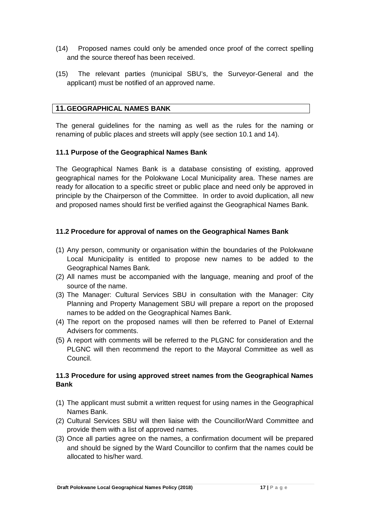- (14) Proposed names could only be amended once proof of the correct spelling and the source thereof has been received.
- (15) The relevant parties (municipal SBU's, the Surveyor-General and the applicant) must be notified of an approved name.

# **11.GEOGRAPHICAL NAMES BANK**

The general guidelines for the naming as well as the rules for the naming or renaming of public places and streets will apply (see section 10.1 and 14).

#### **11.1 Purpose of the Geographical Names Bank**

The Geographical Names Bank is a database consisting of existing, approved geographical names for the Polokwane Local Municipality area. These names are ready for allocation to a specific street or public place and need only be approved in principle by the Chairperson of the Committee. In order to avoid duplication, all new and proposed names should first be verified against the Geographical Names Bank.

#### **11.2 Procedure for approval of names on the Geographical Names Bank**

- (1) Any person, community or organisation within the boundaries of the Polokwane Local Municipality is entitled to propose new names to be added to the Geographical Names Bank.
- (2) All names must be accompanied with the language, meaning and proof of the source of the name.
- (3) The Manager: Cultural Services SBU in consultation with the Manager: City Planning and Property Management SBU will prepare a report on the proposed names to be added on the Geographical Names Bank.
- (4) The report on the proposed names will then be referred to Panel of External Advisers for comments.
- (5) A report with comments will be referred to the PLGNC for consideration and the PLGNC will then recommend the report to the Mayoral Committee as well as Council.

#### **11.3 Procedure for using approved street names from the Geographical Names Bank**

- (1) The applicant must submit a written request for using names in the Geographical Names Bank.
- (2) Cultural Services SBU will then liaise with the Councillor/Ward Committee and provide them with a list of approved names.
- (3) Once all parties agree on the names, a confirmation document will be prepared and should be signed by the Ward Councillor to confirm that the names could be allocated to his/her ward.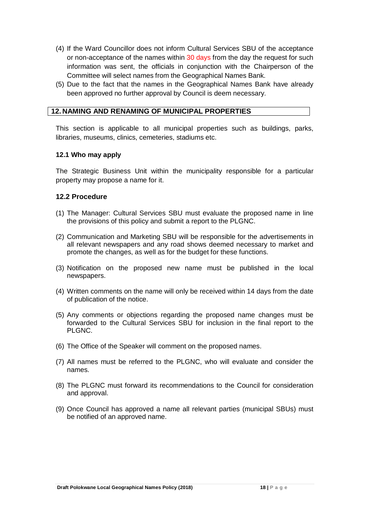- (4) If the Ward Councillor does not inform Cultural Services SBU of the acceptance or non-acceptance of the names within 30 days from the day the request for such information was sent, the officials in conjunction with the Chairperson of the Committee will select names from the Geographical Names Bank.
- (5) Due to the fact that the names in the Geographical Names Bank have already been approved no further approval by Council is deem necessary.

#### **12. NAMING AND RENAMING OF MUNICIPAL PROPERTIES**

This section is applicable to all municipal properties such as buildings, parks, libraries, museums, clinics, cemeteries, stadiums etc.

#### **12.1 Who may apply**

The Strategic Business Unit within the municipality responsible for a particular property may propose a name for it.

#### **12.2 Procedure**

- (1) The Manager: Cultural Services SBU must evaluate the proposed name in line the provisions of this policy and submit a report to the PLGNC.
- (2) Communication and Marketing SBU will be responsible for the advertisements in all relevant newspapers and any road shows deemed necessary to market and promote the changes, as well as for the budget for these functions.
- (3) Notification on the proposed new name must be published in the local newspapers.
- (4) Written comments on the name will only be received within 14 days from the date of publication of the notice.
- (5) Any comments or objections regarding the proposed name changes must be forwarded to the Cultural Services SBU for inclusion in the final report to the PLGNC.
- (6) The Office of the Speaker will comment on the proposed names.
- (7) All names must be referred to the PLGNC, who will evaluate and consider the names.
- (8) The PLGNC must forward its recommendations to the Council for consideration and approval.
- (9) Once Council has approved a name all relevant parties (municipal SBUs) must be notified of an approved name.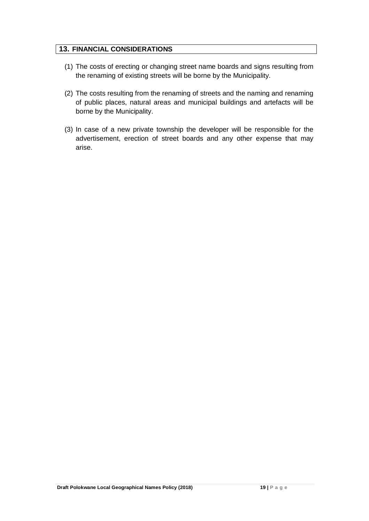#### **13. FINANCIAL CONSIDERATIONS**

- (1) The costs of erecting or changing street name boards and signs resulting from the renaming of existing streets will be borne by the Municipality.
- (2) The costs resulting from the renaming of streets and the naming and renaming of public places, natural areas and municipal buildings and artefacts will be borne by the Municipality.
- (3) In case of a new private township the developer will be responsible for the advertisement, erection of street boards and any other expense that may arise.